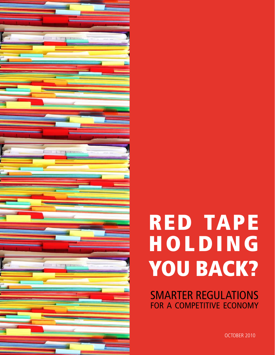

# RED TAPE **HOLDING** YOU BACK?

Smarter regulations FOR A COMPETITIVE ECONOMY

OCTOBER 2010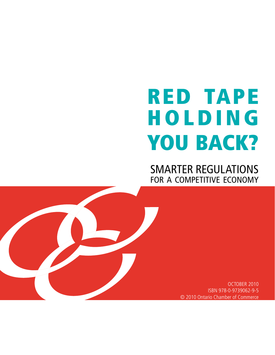# RED TAPE **HOLDING** YOU BACK?

Smarter regulations FOR A COMPETITIVE ECONOMY

> OCTOBER 2010 ISBN 978-0-9739062-9-5 © 2010 Ontario Chamber of Commerce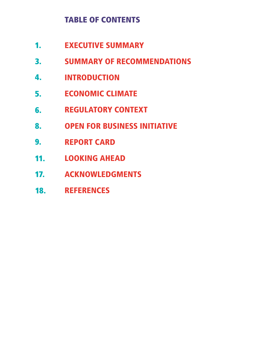# TABLE OF CONTENTS

- Executive Summary 1.
- summary of recommendations 3.
- **INTRODUCTION** 4.
- Economic climate 5.
- regulatory context 6.
- open for business initiative 8.
- report card 9.
- 11. LOOKING AHEAD
- 17. ACKNOWLEDGMEN
- **REFERENCES** 18.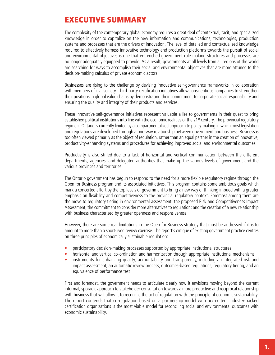# Executive Summary

The complexity of the contemporary global economy requires a great deal of contextual, tacit, and specialized knowledge in order to capitalize on the new information and communications, technologies, production systems and processes that are the drivers of innovation. The level of detailed and contextualized knowledge required to effectively harness innovative technology and production platforms towards the pursuit of social and environmental objectives is one that entrenched government rule-making structures and processes are no longer adequately equipped to provide. As a result, governments at all levels from all regions of the world are searching for ways to accomplish their social and environmental objectives that are more attuned to the decision-making calculus of private economic actors.

Businesses are rising to the challenge by devising innovative self-governance frameworks in collaboration with members of civil society. Third-party certification initiatives allow conscientious companies to strengthen their positions in global value chains by demonstrating their commitment to corporate social responsibility and ensuring the quality and integrity of their products and services.

These innovative self-governance initiatives represent valuable allies to governments in their quest to bring established political institutions into line with the economic realities of the 21<sup>st</sup> century. The provincial regulatory regime in Ontario is currently limited by a compartmentalized approach to policy-making in which most legislation and regulations are developed through a one-way relationship between government and business. Business is too often viewed primarily as the object of regulation, rather than an equal partner in the creation of innovative, productivity-enhancing systems and procedures for achieving improved social and environmental outcomes.

Productivity is also stifled due to a lack of horizontal and vertical communication between the different departments, agencies, and delegated authorities that make up the various levels of government and the various provinces and territories.

The Ontario government has begun to respond to the need for a more flexible regulatory regime through the Open for Business program and its associated initiatives. This program contains some ambitious goals which mark a concerted effort by the top levels of government to bring a new way of thinking imbued with a greater emphasis on flexibility and competitiveness to the provincial regulatory context. Foremost among them are the move to regulatory tiering in environmental assessment; the proposed Risk and Competitiveness Impact Assessment; the commitment to consider more alternatives to regulation; and the creation of a new relationship with business characterized by greater openness and responsiveness.

However, there are some real limitations in the Open for Business strategy that must be addressed if it is to amount to more than a short-lived review exercise. The report's critique of existing government practice centres on three principles of economically sustainable regulation:

- participatory decision-making processes supported by appropriate institutional structures
- horizontal and vertical co-ordination and harmonization through appropriate institutional mechanisms
- instruments for enhancing quality, accountability and transparency, including an integrated risk and impact assessment, an automatic review process, outcomes-based regulations, regulatory tiering, and an equivalence of performance test

First and foremost, the government needs to articulate clearly how it envisions moving beyond the current informal, sporadic approach to stakeholder consultation towards a more productive and reciprocal relationship with business that will allow it to reconcile the act of regulation with the principle of economic sustainability. The report contends that co-regulation based on a partnership model with accredited, industry-backed certification organizations is the most viable model for reconciling social and environmental outcomes with economic sustainability.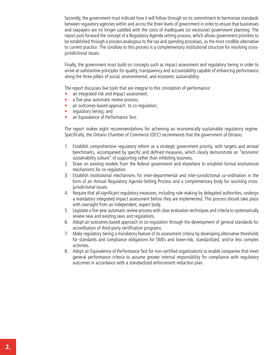Secondly, the government must indicate how it will follow through on its commitment to harmonize standards between regulatory agencies within and across the three levels of government in order to ensure that businesses and taxpayers are no longer saddled with the costs of inadequate (or excessive) government planning. The report puts forward the concept of a Regulatory Agenda setting process, which allows government priorities to be established through a process analogous to the tax and spending processes, as the most credible alternative to current practice. The corollary to this process is a complementary institutional structure for resolving crossjurisdictional issues.

Finally, the government must build on concepts such as impact assessment and regulatory tiering in order to arrive at substantive principles for quality, transparency and accountability capable of enhancing performance along the three pillars of social, environmental, and economic sustainability.

The report discusses five tools that are integral to this conception of performance:

- an integrated risk and impact assessment;
- a five-year automatic review process;
- an outcomes-based approach to co-regulation;
- regulatory tiering; and
- an Equivalence of Performance Test.

The report makes eight recommendations for achieving an economically sustainable regulatory regime. Specifically, the Ontario Chamber of Commerce (OCC) recommends that the government of Ontario:

- 1. Establish comprehensive regulatory reform as a strategic government priority, with targets and annual benchmarks, accompanied by specific and defined measures, which clearly demonstrate an "economic sustainability culture" of supporting rather than inhibiting business.
- 2. Draw on existing models from the federal government and elsewhere to establish formal institutional mechanisms for co-regulation.
- 3. Establish institutional mechanisms for inter-departmental and inter-jurisdictional co-ordination in the form of an Annual Regulatory Agenda-Setting Process and a complementary body for resolving crossjurisdictional issues.
- 4. Require that all significant regulatory measures, including rule-making by delegated authorities, undergo a mandatory integrated impact assessment before they are implemented. This process should take place with oversight from an independent, expert body.
- 5. Legislate a five-year automatic review process with clear evaluation techniques and criteria to systematically review new and existing laws and regulations.
- 6. Adopt an outcomes-based approach to co-regulation through the development of general standards for accreditation of third-party certification programs.
- 7. Make regulatory tiering a mandatory feature of its assessment criteria by developing alternative thresholds for standards and compliance obligations for SMEs and lower-risk, standardized, and/or less complex activities.
- 8. Adopt an Equivalence of Performance Test for non-certified organizations to enable companies that meet general performance criteria to assume greater internal responsibility for compliance with regulatory outcomes in accordance with a standardized enforcement reduction plan.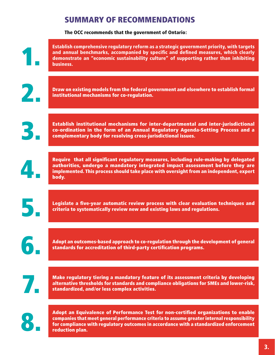# Summary of Recommendations

The OCC recommends that the government of Ontario:

|                | Establish comprehensive regulatory reform as a strategic government priority, with targets<br>and annual benchmarks, accompanied by specific and defined measures, which clearly<br>demonstrate an "economic sustainability culture" of supporting rather than inhibiting<br>business. |
|----------------|----------------------------------------------------------------------------------------------------------------------------------------------------------------------------------------------------------------------------------------------------------------------------------------|
| $\mathbf{Z}_1$ | Draw on existing models from the federal government and elsewhere to establish formal<br>institutional mechanisms for co-regulation.                                                                                                                                                   |
| В.             | Establish institutional mechanisms for inter-departmental and inter-jurisdictional<br>co-ordination in the form of an Annual Regulatory Agenda-Setting Process and a<br>complementary body for resolving cross-jurisdictional issues.                                                  |
| 4.             | Require that all significant regulatory measures, including rule-making by delegated<br>authorities, undergo a mandatory integrated impact assessment before they are<br>implemented. This process should take place with oversight from an independent, expert<br>body.               |
|                |                                                                                                                                                                                                                                                                                        |
| 5.             | Legislate a five-year automatic review process with clear evaluation techniques and<br>criteria to systematically review new and existing laws and regulations.                                                                                                                        |
|                | Adopt an outcomes-based approach to co-regulation through the development of general<br>standards for accreditation of third-party certification programs.                                                                                                                             |
| 7.             | Make regulatory tiering a mandatory feature of its assessment criteria by developing<br>alternative thresholds for standards and compliance obligations for SMEs and lower-risk,<br>standardized, and/or less complex activities.                                                      |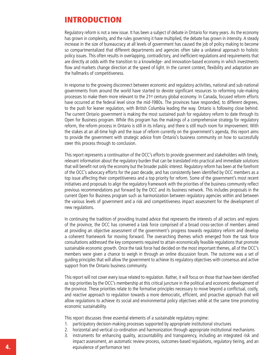## Introduction

Regulatory reform is not a new issue. It has been a subject of debate in Ontario for many years. As the economy has grown in complexity, and the rules governing it have multiplied, the debate has grown in intensity. A steady increase in the size of bureaucracy at all levels of government has caused the job of policy making to become so compartmentalized that different departments and agencies often take a unilateral approach to holistic policy issues. This often results in overlapping, contradictory, and inefficient regulations and requirements that are directly at odds with the transition to a knowledge- and innovation-based economy in which investments flow and markets change direction at the speed of light. In the current context, flexibility and adaptation are the hallmarks of competitiveness.

In response to the growing disconnect between economic and regulatory activities, national and sub-national governments from around the world have started to devote significant resources to reforming rule-making processes to make them more relevant to the 21st century global economy. In Canada, focused reform efforts have occurred at the federal level since the mid-1980s. The provinces have responded, to different degrees, to the push for leaner regulation, with British Columbia leading the way. Ontario is following close behind. The current Ontario government is making the most sustained push for regulatory reform to date through its Open for Business program. While this program has the makings of a comprehensive strategy for regulatory reform, the reform process in Ontario is still in its infancy, and there is still much room for improvement. With the stakes at an all-time high and the issue of reform currently on the government's agenda, this report aims to provide the government with strategic advice from Ontario's business community on how to successfully steer this process through to conclusion.

This report represents a continuation of the OCC's efforts to provide government and stakeholders with timely, relevant information about the regulatory burden that can be translated into practical and immediate solutions that will benefit not only the economy but the broader public interest. Regulatory reform has been at the forefront of the OCC's advocacy efforts for the past decade, and has consistently been identified by OCC members as a top issue affecting their competitiveness and a top priority for reform. Some of the government's most recent initiatives and proposals to align the regulatory framework with the priorities of the business community reflect previous recommendations put forward by the OCC and its business network. This includes proposals in the current Open for Business program such as harmonization between regulatory agencies within and between the various levels of government and a risk and competitiveness impact assessment for the development of new regulations.

In continuing the tradition of providing trusted advice that represents the interests of all sectors and regions of the province, the OCC has convened a task force comprised of a broad cross-section of members aimed at providing an objective assessment of the government's progress towards regulatory reform and develop a coherent framework for moving forward. The overarching themes which emerged from the task force consultations addressed the key components required to attain economically feasible regulations that promote sustainable economic growth. Once the task force had decided on the most important themes, all of the OCC's members were given a chance to weigh in through an online discussion forum. The outcome was a set of guiding principles that will allow the government to achieve its regulatory objectives with consensus and active support from the Ontario business community.

This report will not cover every issue related to regulation. Rather, it will focus on those that have been identified as top priorities by the OCC's membership at this critical juncture in the political and economic development of the province. These priorities relate to the formative principles necessary to move beyond a conflictual, costly, and reactive approach to regulation towards a more democratic, efficient, and proactive approach that will allow regulations to achieve its social and environmental policy objectives while at the same time promoting economic sustainability.

This report discusses three essential elements of a sustainable regulatory regime:

- 1. participatory decision-making processes supported by appropriate institutional structures
- 2. horizontal and vertical co-ordination and harmonization through appropriate institutional mechanisms
- 3. instruments for enhancing quality, accountability and transparency, including an integrated risk and impact assessment, an automatic review process, outcomes-based regulations, regulatory tiering, and an 4. equivalence of performance test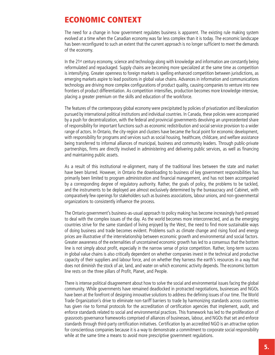## Economic Context

The need for a change in how government regulates business is apparent. The existing rule making system evolved at a time when the Canadian economy was far less complex than it is today. The economic landscape has been reconfigured to such an extent that the current approach is no longer sufficient to meet the demands of the economy.

In the 21st century economy, science and technology along with knowledge and information are constantly being reformulated and repackaged. Supply chains are becoming more specialized at the same time as competition is intensifying. Greater openness to foreign markets is spelling enhanced competition between jurisdictions, as emerging markets aspire to lead positions in global value chains. Advances in information and communications technology are driving more complex configurations of product quality, causing companies to venture into new frontiers of product differentiation. As competition intensifies, production becomes more knowledge-intensive, placing a greater premium on the skills and education of the workforce.

The features of the contemporary global economy were precipitated by policies of privatization and liberalization pursued by international political institutions and individual countries. In Canada, these policies were accompanied by a push for decentralization, with the federal and provincial governments devolving an unprecedented share of responsibility for important functions such as economic redistribution and social service provision to a wider range of actors. In Ontario, the city-region and clusters have became the focal point for economic development, with responsibility for programs and services such as social housing, healthcare, childcare, and welfare assistance being transferred to informal alliances of municipal, business and community leaders. Through public-private partnerships, firms are directly involved in administering and delivering public services, as well as financing and maintaining public assets.

As a result of this institutional re-alignment, many of the traditional lines between the state and market have been blurred. However, in Ontario the downloading to business of key government responsibilities has primarily been limited to program administration and financial management, and has not been accompanied by a corresponding degree of regulatory authority. Rather, the goals of policy, the problems to be tackled, and the instruments to be deployed are almost exclusively determined by the bureaucracy and Cabinet, with comparatively few openings for stakeholders such as business associations, labour unions, and non-governmental organizations to consistently influence the process.

The Ontario government's business-as-usual approach to policy making has become increasingly hard-pressed to deal with the complex issues of the day. As the world becomes more interconnected, and as the emerging countries strive for the same standard of living enjoyed by the West, the need to find more sustainable ways of doing business and trade becomes evident. Problems such as climate change and rising food and energy prices are illustrative of the interrelationship between economic growth and environmental and social factors. Greater awareness of the externalities of uncontained economic growth has led to a consensus that the bottom line is not simply about profit, especially in the narrow sense of price competition. Rather, long-term success in global value chains is also critically dependent on whether companies invest in the technical and productive capacity of their suppliers and labour force, and on whether they harness the earth's resources in a way that does not diminish the stock of air, land, and water on which economic activity depends. The economic bottom line rests on the three pillars of Profit, Planet, and People.

There is intense political disagreement about how to solve the social and environmental issues facing the global community. While governments have remained deadlocked in protracted negotiations, businesses and NGOs have been at the forefront of designing innovative solutions to address the defining issues of our time. The World Trade Organization's drive to eliminate non-tariff barriers to trade by harmonizing standards across countries has given rise to formal protocols for the accreditation of certification agencies that implement, audit, and enforce standards related to social and environmental practices. This framework has led to the proliferation of grassroots governance frameworks comprised of alliances of businesses, labour, and NGOs that set and enforce standards through third-party certification initiatives. Certification by an accredited NGO is an attractive option for conscientious companies because it is a way to demonstrate a commitment to corporate social responsibility while at the same time a means to avoid more prescriptive government regulations.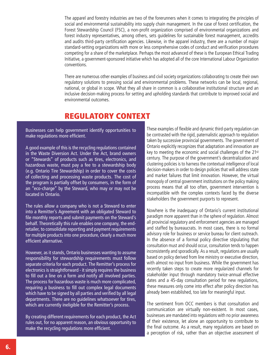The apparel and forestry industries are two of the forerunners when it comes to integrating the principles of social and environmental sustainability into supply chain management. In the case of forest certification, the Forest Stewardship Council (FSC), a non-profit organization comprised of environmental organizations and forest industry representatives, among others, sets guidelines for sustainable forest management, accredits and audits third-party certification agencies. Likewise, in the apparel industry, there are a number of major standard-setting organizations with more or less comprehensive codes of conduct and verification procedures competing for a share of the marketplace. Perhaps the most advanced of these is the European Ethical Trading Initiative, a government-sponsored initiative which has adopted all of the core International Labour Organization conventions.

There are numerous other examples of business and civil society organizations collaborating to create their own regulatory solutions to pressing social and environmental problems. These networks can be local, regional, national, or global in scope. What they all share in common is a collaborative institutional structure and an inclusive decision-making process for setting and upholding standards that contribute to improved social and environmental outcomes.

## Regulatory Context

Businesses can help government identify opportunities to make regulations more efficient.

A good example of this is the recycling regulations contained in the Waste Diversion Act. Under the Act, brand owners or "Stewards" of products such as tires, electronics, and hazardous waste, must pay a fee to a stewardship body (e.g. Ontario Tire Stewardship) in order to cover the costs of collecting and processing waste products. The cost of the program is partially offset by consumers, in the form of an "eco-charge" by the Steward, who may or may not be located in Ontario.

The rules allow a company who is not a Steward to enter into a Remitter's Agreement with an obligated Steward to file monthly reports and submit payments on the Steward's behalf. Theoretically this rule enables one company, the endretailer, to consolidate reporting and payment requirements for multiple products into one procedure, clearly a much more efficient alternative.

However, as it stands, Ontario businesses wanting to assume responsibility for stewardship requirements must follow separate criteria for each product. The Remitter's process for electronics is straightforward - it simply requires the business to fill out a line on a form and notify all involved parties. The process for hazardous waste is much more complicated, requiring a business to fill out complex legal documents which have to be signed by all parties and verified by all legal departments. There are no guidelines whatsoever for tires, which are currently ineligible for the Remitter's process.

By creating different requirements for each product, the Act rules out, for no apparent reason, an obvious opportunity to make the recycling regulations more efficient.

These examples of flexible and dynamic third-party regulation can be contrasted with the rigid, paternalistic approach to regulation taken by successive provincial governments. The government of Ontario explicitly recognizes that adaptation and innovation are key to meeting the economic and social challenges of the 21st century. The purpose of the government's decentralization and clustering policies is to harness the contextual intelligence of local decision-makers in order to design policies that will address state and market failures that limit innovation. However, the virtual monopoly of central government institutions on the policy making process means that all too often, government intervention is incompatible with the complex contexts faced by the diverse stakeholders the government purports to represent.

Nowhere is the inadequacy of Ontario's current institutional paradigm more apparent than in the sphere of regulation. Almost all provincial regulatory and enforcement agencies are managed and staffed by bureaucrats. In most cases, there is no formal advisory role for business or service bureau for client outreach. In the absence of a formal policy directive stipulating that consultation must and should occur, consultation tends to happen inconsistently and sporadically. As a result, regulations are usually based on policy derived from line ministry or executive direction, with almost no input from business. While the government has recently taken steps to create more regularized channels for stakeholder input through mandatory twice-annual effective dates and a 45-day consultation period for new regulations, these measures only come into effect after policy direction has already been established, too late for meaningful input.

The sentiment from OCC members is that consultation and communication are virtually non-existent. In most cases, businesses are mandated into regulations with no prior awareness of their existence, let alone an opportunity to contribute to the final outcome. As a result, many regulations are based on a perception of risk, rather than an objective assessment of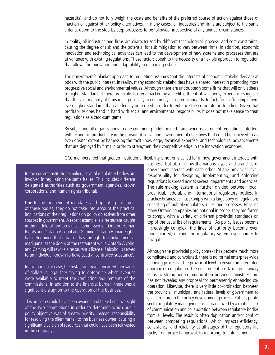hazard(s), and do not fully weigh the costs and benefits of the preferred course of action against those of inaction or against other policy alternatives. In many cases, all industries and firms are subject to the same criteria, down to the step-by-step processes to be followed, irrespective of any unique circumstances.

In reality, all industries and firms are characterized by different technological, process, and cost constraints, causing the degree of risk and the potential for risk mitigation to vary between firms. In addition, economic innovation and technological advances can lead to the development of new systems and processes that are at variance with existing regulations. These factors speak to the necessity of a flexible approach to regulation that allows for innovation and adaptability in managing risk(s).

The government's blanket approach to regulation assumes that the interests of economic stakeholders are at odds with the public interest. In reality, many economic stakeholders have a shared interest in promoting more progressive social and environmental values. Although there are undoubtedly some firms that will only adhere to higher standards if there are explicit criteria backed by a credible threat of sanctions, experience suggests that the vast majority of firms react positively to commonly accepted standards. In fact, firms often implement even higher standards than are legally prescribed in order to enhance the corporate bottom line. Given that profitability goes hand in hand with social and environmental responsibility, it does not make sense to treat regulations as a zero-sum game.

By subjecting all organizations to one common, predetermined framework, government regulations interfere with economic productivity in the pursuit of social and environmental objectives that could be achieved to an even greater extent by harnessing the tacit knowledge, technical expertise, and technological advancements that are deployed by firms in order to strengthen their competitive edge in the innovation economy.

OCC members feel that greater institutional flexibility is not only called for in how government interacts with

In the current institutional milieu, several regulatory bodies are involved in regulating the same issues. This includes different delegated authorities such as government agencies, crown corporations, and human rights tribunals.

Due to the independent mandates and operating structures of these bodies, they do not take into account the practical implications of their regulations on policy objectives from other sources in government. A recent example is a restaurant caught in the middle of two provincial commissions – Ontario Human Rights and Ontario Alcohol and Gaming. Ontario Human Rights has determined that a patron has the right to smoke 'medical marijuana' at the doors of the restaurant while Ontario Alcohol and Gaming will revoke a restaurant's license if alcohol is served to an individual known to have used a 'controlled substance'.

In this particular case, the restaurant owner incurred thousands of dollars in legal fees trying to determine which avenues were available to meet the conflicting requirements of the commissions. In addition to the financial burden, there was a significant disruption to the operation of the business.

This outcome could have been avoided had there been oversight of the two commissions in order to determine which public policy objective was of greater priority. Instead, responsibility for resolving the dilemma fell to the business owner, causing a significant diversion of resources that could have been reinvested in the company.

business, but also in how the various layers and branches of government interact with each other. At the provincial level, responsibility for designing, implementing, and enforcing regulations is spread across several departments and agencies. The rule-making system is further divided between local, provincial, federal, and international regulatory bodies. In practice businesses must comply with a large body of regulations consisting of multiple regulators, rules, and processes. Because many Ontario companies are national in scope, they are forced to comply with a variety of different provincial standards on top of the usual list of requirements. As policy issues become increasingly complex, the lines of authority become even more blurred, making the regulatory system even harder to navigate.

Although the provincial policy context has become much more complicated and convoluted, there is no formal enterprise-wide planning process at the provincial level to ensure an integrated approach to regulation. The government has taken preliminary steps to strengthen communication between ministries, but has not revealed any proposal for permanently enhancing cooperation. Likewise, there is very little co-ordination between the provincial, municipal, and federal levels of government to give structure to the policy development process. Rather, public sector regulatory management is characterized by a routine lack of communication and collaboration between regulatory bodies from all levels. The result is often duplication and/or conflict between competing regulations, which impacts efficiency, consistency, and reliability at all stages of the regulatory life cycle, from project approval, to reporting, to enforcement.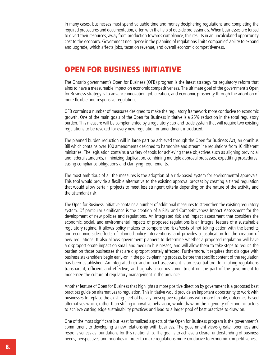In many cases, businesses must spend valuable time and money deciphering regulations and completing the required procedures and documentation, often with the help of outside professionals. When businesses are forced to divert their resources, away from production towards compliance, this results in an uncalculated opportunity cost to the economy. Government negligence in the planning of regulations limits companies' ability to expand and upgrade, which affects jobs, taxation revenue, and overall economic competitiveness.

## Open for Business Initiative

The Ontario government's Open for Business (OFB) program is the latest strategy for regulatory reform that aims to have a measureable impact on economic competitiveness. The ultimate goal of the government's Open for Business strategy is to advance innovation, job creation, and economic prosperity through the adoption of more flexible and responsive regulations.

OFB contains a number of measures designed to make the regulatory framework more conducive to economic growth. One of the main goals of the Open for Business initiative is a 25% reduction in the total regulatory burden. This measure will be complemented by a regulatory cap-and-trade system that will require two existing regulations to be revoked for every new regulation or amendment introduced.

The planned burden reduction will in large part be achieved through the Open for Business Act, an omnibus Bill which contains over 100 amendments designed to harmonize and streamline regulations from 10 different ministries. The legislation contains a variety of tools for achieving these objectives such as aligning provincial and federal standards, minimizing duplication, combining multiple approval processes, expediting procedures, easing compliance obligations and clarifying requirements.

The most ambitious of all the measures is the adoption of a risk-based system for environmental approvals. This tool would provide a flexible alternative to the existing approval process by creating a tiered regulation that would allow certain projects to meet less stringent criteria depending on the nature of the activity and the attendant risk.

The Open for Business initiative contains a number of additional measures to strengthen the existing regulatory system. Of particular significance is the creation of a Risk and Competitiveness Impact Assessment for the development of new policies and regulations. An integrated risk and impact assessment that considers the economic, social, and environmental impacts of proposed regulations is an integral feature of a sustainable regulatory regime. It allows policy-makers to compare the risks/costs of not taking action with the benefits and economic side-effects of planned policy interventions, and provides a justification for the creation of new regulations. It also allows government planners to determine whether a proposed regulation will have a disproportionate impact on small and medium businesses, and will allow them to take steps to reduce the burden on those businesses that are disproportionately affected. Furthermore, it requires that dialogue with business stakeholders begin early-on in the policy-planning process, before the specific content of the regulation has been established. An integrated risk and impact assessment is an essential tool for making regulations transparent, efficient and effective, and signals a serious commitment on the part of the government to modernize the culture of regulatory management in the province.

Another feature of Open for Business that highlights a more positive direction by government is a proposed best practices guide on alternatives to regulation. This initiative would provide an important opportunity to work with businesses to replace the existing fleet of heavily prescriptive regulations with more flexible, outcomes-based alternatives which, rather than stifling innovative behaviour, would draw on the ingenuity of economic actors to achieve cutting edge sustainability practices and lead to a larger pool of best practices to draw on.

One of the most significant but least formalized aspects of the Open for Business program is the government's commitment to developing a new relationship with business. The government views greater openness and responsiveness as foundations for this relationship. The goal is to achieve a clearer understanding of business needs, perspectives and priorities in order to make regulations more conducive to economic competitiveness.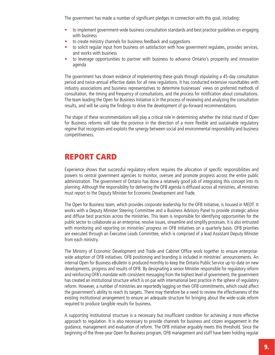The government has made a number of significant pledges in connection with this goal, including:

- to implement government-wide business consultation standards and best practice quidelines on engaging with business
- to create ministry channels for business feedback and suggestions
- to solicit regular input from business on satisfaction with how government regulates, provides services, and works with business
- to leverage opportunities to partner with business to advance Ontario's prosperity and innovation agenda

The government has shown evidence of implementing these goals through stipulating a 45-day consultation period and twice-annual effective dates for all new regulations. It has conducted extensive roundtables with industry associations and business representatives to determine businesses' views on preferred methods of consultation, the timing and frequency of consultations, and the process for notification about consultations. The team leading the Open for Business Initiative is in the process of reviewing and analyzing the consultation results, and will be using the findings to drive the development of go-forward recommendations.

The shape of these recommendations will play a critical role in determining whether the initial round of Open for Business reforms will take the province in the direction of a more flexible and sustainable regulatory regime that recognizes and exploits the synergy between social and environmental responsibility and business competitiveness.

## Report Card

Experience shows that successful regulatory reform requires the allocation of specific responsibilities and powers to central government agencies to monitor, oversee and promote progress across the entire public administration. The government of Ontario has done a relatively good job of integrating this concept into its planning. Although the responsibility for delivering the OFB agenda is diffused across all ministries, all ministries must report to the Deputy Minister for Economic Development and Trade.

The Open for Business team, which provides corporate leadership for the OFB Initiative, is housed in MEDT. It works with a Deputy Minister Steering Committee and a Business Advisory Panel to provide strategic advice and diffuse best practices across the ministries. This team is responsible for identifying opportunities for the public sector to collaborate as an enterprise, resolve issues, streamline and simplify processes. It is also entrusted with monitoring and reporting on ministries' progress on OFB initiatives on a quarterly basis. OFB priorities are executed through an Executive Leads Committee, which is comprised of a lead Assistant Deputy Minister from each ministry.

The Ministry of Economic Development and Trade and Cabinet Office work together to ensure enterprisewide adoption of OFB initiatives. OFB positioning and branding is included in ministries' announcements. An internal Open for Business eBulletin is produced monthly to keep the Ontario Public Service up-to-date on new developments, progress and results of OFB. By designating a senior Minister responsible for regulatory reform and reinforcing OFB's mandate with consistent messaging from the highest level of government, the government has created an institutional structure which is on par with international best practice in the sphere of regulatory reform. However, a number of ministries are reportedly lagging on their OFB commitments, which could affect the government's ability to reach its targets. There may therefore be a need to review the effectiveness of the existing institutional arrangement to ensure an adequate structure for bringing about the wide-scale reform required to produce tangible results for business.

A supporting institutional structure is a necessary but insufficient condition for achieving a more effective approach to regulation. It is also necessary to provide channels for business and citizen engagement in the guidance, management and evaluation of reform. The OFB initiative arguably meets this threshold. Since the beginning of the three-year Open for Business program, OFB management and staff have been holding regular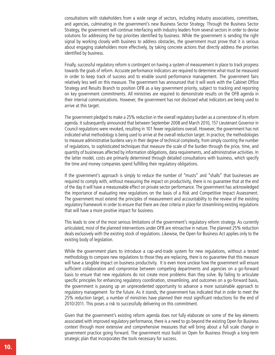consultations with stakeholders from a wide range of sectors, including industry associations, committees, and agencies, culminating in the government's new Business Sector Strategy. Through the Business Sector Strategy, the government will continue interfacing with industry leaders from several sectors in order to devise solutions for addressing the top priorities identified by business. While the government is sending the right signal by working closely with business to address obstacles, the government must prove that it is serious about engaging stakeholders more effectively, by taking concrete actions that directly address the priorities identified by business.

Finally, successful regulatory reform is contingent on having a system of measurement in place to track progress towards the goals of reform. Accurate performance indicators are required to determine what must be measured in order to keep track of success and to enable sound performance management. The government fairs relatively less well on this measure. The government has announced that it will work with the Cabinet Office Strategy and Results Branch to position OFB as a key government priority, subject to tracking and reporting on key government commitments. All ministries are required to demonstrate results on the OFB agenda in their internal communications. However, the government has not disclosed what indicators are being used to arrive at this target.

The government pledged to make a 25% reduction in the overall regulatory burden as a cornerstone of its reform agenda. It subsequently announced that between September 2008 and March 2010, 157 Lieutenant Governor in Council regulations were revoked, resulting in 101 fewer regulations overall. However, the government has not indicated what methodology is being used to arrive at the overall reduction target. In practice, the methodologies to measure administrative burdens vary in their degree of technical complexity, from simply counting the number of regulations, to sophisticated techniques that measure the scale of the burden through the price, time, and quantity of businesses affected by information obligations, data requirements, and administrative activities. In the latter model, costs are primarily determined through detailed consultations with business, which specify the time and money companies spend fulfilling their regulatory obligations.

If the government's approach is simply to reduce the number of "musts" and "shalls" that businesses are required to comply with, without measuring the impact on productivity, there is no guarantee that at the end of the day it will have a measureable effect on private sector performance. The government has acknowledged the importance of evaluating new regulations on the basis of a Risk and Competitive Impact Assessment. The government must extend the principles of measurement and accountability to the review of the existing regulatory framework in order to ensure that there are clear criteria in place for streamlining existing regulations that will have a more positive impact for business.

This leads to one of the most serious limitations of the government's regulatory reform strategy. As currently articulated, most of the planned interventions under OFB are retroactive in nature. The planned 25% reduction deals exclusively with the existing stock of regulations. Likewise, the Open for Business Act applies only to the existing body of legislation.

While the government plans to introduce a cap-and-trade system for new regulations, without a tested methodology to compare new regulations to those they are replacing, there is no guarantee that this measure will have a tangible impact on business productivity. It is even more unclear how the government will ensure sufficient collaboration and compromise between competing departments and agencies on a go-forward basis to ensure that new regulations do not create more problems than they solve. By failing to articulate specific principles for enhancing regulatory coordination, streamlining, and outcomes on a go-forward basis, the government is passing up an unprecedented opportunity to advance a more sustainable approach to regulatory management for the future. As it stands, the government has indicated that in order to meet the 25% reduction target, a number of ministries have planned their most significant reductions for the end of 2010/2011. This poses a risk to successfully delivering on this commitment.

Given that the government's existing reform agenda does not fully elaborate on some of the key elements associated with improved regulatory performance, there is a need to go beyond the existing Open for Business context through more extensive and comprehensive measures that will bring about a full scale change in government practice going forward. The government must build on Open for Business through a long-term strategic plan that incorporates the tools necessary for success.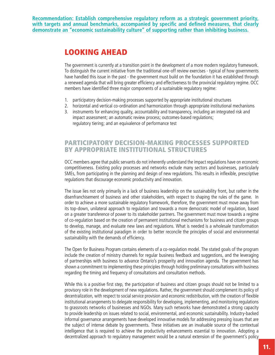**Recommendation: Establish comprehensive regulatory reform as a strategic government priority, with targets and annual benchmarks, accompanied by specific and defined measures, that clearly demonstrate an "economic sustainability culture" of supporting rather than inhibiting business.** 

## Looking Ahead

The government is currently at a transition point in the development of a more modern regulatory framework. To distinguish the current initiative from the traditional one-off review exercises - typical of how governments have handled this issue in the past - the government must build on the foundation it has established through a renewed agenda that will bring greater efficiency and effectiveness to the provincial regulatory regime. OCC members have identified three major components of a sustainable regulatory regime:

- 1. participatory decision-making processes supported by appropriate institutional structures
- 2. horizontal and vertical co-ordination and harmonization through appropriate institutional mechanisms
- 3. instruments for enhancing quality, accountability and transparency, including an integrated risk and impact assessment; an automatic review process; outcomes-based regulations; regulatory tiering; and an equivalence of performance test

## Participatory decision-making processes Supported by Appropriate Institutional Structures

OCC members agree that public servants do not inherently understand the impact regulations have on economic competitiveness. Existing policy processes and networks exclude many sectors and businesses, particularly SMEs, from participating in the planning and design of new regulations. This results in inflexible, prescriptive regulations that discourage economic productivity and innovation.

The issue lies not only primarily in a lack of business leadership on the sustainability front, but rather in the disenfranchisement of business and other stakeholders, with respect to shaping the rules of the game. In order to achieve a more sustainable regulatory framework, therefore, the government must move away from its top-down, unilateral approach to regulation and towards a more democratic model of regulation, based on a greater transference of power to its stakeholder partners. The government must move towards a regime of co-regulation based on the creation of permanent institutional mechanisms for business and citizen groups to develop, manage, and evaluate new laws and regulations. What is needed is a wholesale transformation of the existing institutional paradigm in order to better reconcile the principles of social and environmental sustainability with the demands of efficiency.

The Open for Business Program contains elements of a co-regulation model. The stated goals of the program include the creation of ministry channels for regular business feedback and suggestions, and the leveraging of partnerships with business to advance Ontario's prosperity and innovation agenda. The government has shown a commitment to implementing these principles through holding preliminary consultations with business regarding the timing and frequency of consultations and consultation methods.

While this is a positive first step, the participation of business and citizen groups should not be limited to a provisory role in the development of new regulations. Rather, the government should complement its policy of decentralization, with respect to social service provision and economic redistribution, with the creation of flexible institutional arrangements to delegate responsibility for developing, implementing, and monitoring regulations to grassroots networks of businesses and NGOs. Many such networks have demonstrated a strong capacity to provide leadership on issues related to social, environmental, and economic sustainability. Industry-backed informal governance arrangements have developed innovative models for addressing pressing issues that are the subject of intense debate by governments. These initiatives are an invaluable source of the contextual intelligence that is required to achieve the productivity enhancements essential to innovation. Adopting a decentralized approach to regulatory management would be a natural extension of the government's policy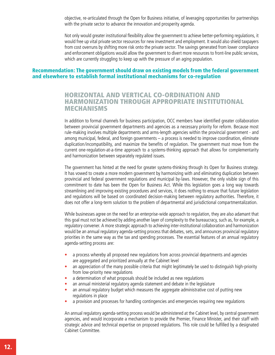objective, re-articulated through the Open for Business initiative, of leveraging opportunities for partnerships with the private sector to advance the innovation and prosperity agenda.

Not only would greater institutional flexibility allow the government to achieve better-performing regulations, it would free up vital private sector resources for new investment and employment. It would also shield taxpayers from cost overruns by shifting more risk onto the private sector. The savings generated from lower compliance and enforcement obligations would allow the government to divert more resources to front-line public services, which are currently struggling to keep up with the pressure of an aging population.

#### Recommendation: The government should draw on existing models from the federal government and elsewhere to establish formal institutional mechanisms for co-regulation

## Horizontal and vertical co-ordination and harmonization through appropriate institutional mechanisms

In addition to formal channels for business participation, OCC members have identified greater collaboration between provincial government departments and agencies as a necessary priority for reform. Because most rule-making involves multiple departments and arms-length agencies within the provincial government - and among municipal, federal, and foreign governments – a process is needed to improve coordination, eliminate duplication/incompatibility, and maximize the benefits of regulation. The government must move from the current one-regulation-at-a-time approach to a systems-thinking approach that allows for complementarity and harmonization between separately regulated issues.

The government has hinted at the need for greater systems-thinking through its Open for Business strategy. It has vowed to create a more modern government by harmonizing with and eliminating duplication between provincial and federal government regulations and municipal by-laws. However, the only visible sign of this commitment to date has been the Open for Business Act. While this legislation goes a long way towards streamlining and improving existing procedures and services, it does nothing to ensure that future legislation and regulations will be based on coordinated decision-making between regulatory authorities. Therefore, it does not offer a long-term solution to the problem of departmental and jurisdictional compartmentalization.

While businesses agree on the need for an enterprise-wide approach to regulation, they are also adamant that this goal must not be achieved by adding another layer of complexity to the bureaucracy, such as, for example, a regulatory convener. A more strategic approach to achieving inter-institutional collaboration and harmonization would be an annual regulatory agenda-setting process that debates, sets, and announces provincial regulatory priorities in the same way as the tax and spending processes. The essential features of an annual regulatory agenda-setting process are:

- a process whereby all proposed new regulations from across provincial departments and agencies are aggregated and prioritized annually at the Cabinet level
- an appreciation of the many possible criteria that might legitimately be used to distinguish high-priority from low-priority new regulations
- a determination of what proposals should be included as new regulations
- an annual ministerial regulatory agenda statement and debate in the legislature
- an annual regulatory budget which measures the aggregate administrative cost of putting new regulations in place
- a provision and processes for handling contingencies and emergencies requiring new regulations

An annual regulatory agenda-setting process would be administered at the Cabinet level, by central government agencies, and would incorporate a mechanism to provide the Premier, Finance Minister, and their staff with strategic advice and technical expertise on proposed regulations. This role could be fulfilled by a designated Cabinet Committee.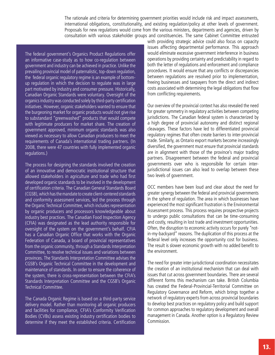The rationale and criteria for determining government priorities would include risk and impact assessments, international obligations, constitutionality, and existing regulation/policy at other levels of government. Proposals for new regulations would come from the various ministers, departments and agencies, driven by consultation with various stakeholder groups and constituencies. The same Cabinet Committee entrusted

The federal government's Organics Product Regulations offer an informative case-study as to how co-regulation between government and industry can be achieved in practice. Unlike the prevailing provincial model of paternalistic, top-down regulation, the federal organic regulatory regime is an example of bottomup regulation in which the decision to regulate was in large part motivated by industry and consumer pressure. Historically, Canadian Organic Standards were voluntary. Oversight of the organics industry was conducted solely by third-party certification initiatives. However, organic stakeholders wanted to ensure that the burgeoning market for organic products would not give rise to substandard "greenwashed" products that would compete with legitimate producers for market share. The creation of government approved, minimum organic standards was also viewed as necessary to allow Canadian producers to meet the requirements of Canada's international trading partners. (In 2008, there were 47 countries with fully implemented organic regulations.)

The process for designing the standards involved the creation of an innovative and democratic institutional structure that allowed stakeholders in agriculture and trade who had first developed organic standards to be involved in the development of certification criteria. The Canadian General Standards Board (CGSB), which has the mandate to create client-centered standards and conformity assessment services, led the process through the Organic Technical Committee, which includes representation by organic producers and processors knowledgeable about industry best practices. The Canadian Food Inspection Agency (CFIA) was designated as the lead authority responsible for oversight of the system on the government's behalf. CFIA has a Canadian Organic Office that works with the Organic Federation of Canada, a board of provincial representatives from the organic community, through a Standards Interpretation Committee, to resolve technical issues and variations between provinces. The Standards Interpretation Committee advises the CGSB's Organic Technical Committee in the development and maintenance of standards. In order to ensure the coherence of the system, there is cross-representation between the CFIA's Standards Interpretation Committee and the CGSB's Organic Technical Committee.

The Canada Organic Regime is based on a third-party service delivery model. Rather than monitoring all organic producers and facilities for compliance, CFIA's Conformity Verification Bodies (CVBs) assess existing industry certification bodies to determine if they meet the established criteria. Certification with providing strategic advice could also focus on capacity issues affecting departmental performance. This approach would eliminate excessive government interference in business operations by providing certainty and predictability in regard to both the letter of regulations and enforcement and compliance procedures. It would ensure that any conflicts or discrepancies between regulations are resolved prior to implementation, freeing businesses and taxpayers from the direct and indirect costs associated with determining the legal obligations that flow from conflicting requirements.

Our overview of the provincial context has also revealed the need for greater symmetry in regulatory activities between competing jurisdictions. The Canadian federal system is characterized by a high degree of provincial autonomy and distinct regional cleavages. These factors have led to differentiated provincial regulatory regimes that often create barriers to inter-provincial trade. Similarly, as Ontario export markets become increasingly diversified, the government must ensure that provincial standards are in alignment with those of the province's major trading partners. Disagreement between the federal and provincial governments over who is responsibile for certain interjurisdictional issues can also lead to overlap between these two levels of government.

OCC members have been loud and clear about the need for greater synergy between the federal and provincial governments in the sphere of regulation. The area in which businesses have experienced the most significant frustration is the Environmental Assessment process. This process requires prospective projects to undergo public consultations that can be time-consuming and costly, resulting in lost trade and investment opportunities. Often, the disruption to economic activity occurs for purely "notin-my-backyard" reasons. The duplication of this process at the federal level only increases the opportunity cost for business. The result is slower economic growth with no added benefit to the environment.

The need for greater inter-jurisdictional coordination necessitates the creation of an institutional mechanism that can deal with issues that cut across government boundaries. There are several different forms this mechanism can take. British Columbia has created the Federal-Provincial-Territorial Committee on Regulatory Governance and Reform, which brings together a network of regulatory experts from across provincial boundaries to develop best practices on regulatory policy and build support for common approaches to regulatory development and overall management in Canada. Another option is a Regulatory Review Commission.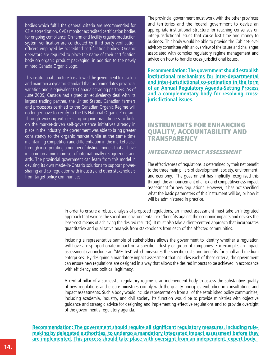bodies which fulfill the general criteria are recommended for CFIA accreditation. CVBs monitor accredited certification bodies for ongoing compliance. On-farm and facility organic production system verification are conducted by third-party verification officers employed by accredited certification bodies. Organic operators are required to place the name of their certification body on organic product packaging, in addition to the newly minted Canada Organic Logo.

This institutional structure has allowed the government to develop and maintain a dynamic standard that accommodates provincial variation and is equivalent to Canada's trading partners. As of June 2009, Canada had signed an equivalency deal with its largest trading partner, the United States. Canadian farmers and processors certified to the Canadian Organic Regime will no longer have to certify to the US National Organic Program. Through working with existing organic practitioners to build on the market-driven self-governance initiatives already in place in the industry, the government was able to bring greater consistency to the organic market while at the same time maintaining competition and differentiation in the marketplace, through incorporating a number of distinct models that all have in common a minimum set of internationally recognized stand ards. The provincial government can learn from this model in devising its own made-in-Ontario solutions to support powersharing and co-regulation with industry and other stakeholders from target policy communities.

The provincial government must work with the other provinces and territories and the federal government to devise an appropriate institutional structure for reaching consensus on inter-jurisdictional issues that cause lost time and money to business. This body would be able to provide the Cabinet-level advisory committee with an overview of the issues and challenges associated with complex regulatory regime management and advice on how to handle cross-jurisdictional issues.

**Recommendation: The government should establish institutional mechanisms for inter-departmental and inter-jurisdictional co-ordination in the form of an Annual Regulatory Agenda-Setting Process and a complementary body for resolving crossjurisdictional issues.** 

## Instruments for enhancing quality, accountability and **TRANSPARENCY**

### Integrated Impact Assessment

The effectiveness of regulations is determined by their net benefit to the three main pillars of development: society, environment, and economy. The government has implicitly recognized this through the announcement of a risk and competitiveness impact assessment for new regulations. However, it has not specified what the basic parameters of this instrument will be, or how it will be administered in practice.

In order to ensure a robust analysis of proposed regulations, an impact assessment must take an integrated approach that weighs the social and environmental risks/benefits against the economic impacts and devises the least-cost means of achieving the desired result(s). It must also take a client-centred approach that incorporates quantitative and qualitative analysis from stakeholders from each of the affected communities.

Including a representative sample of stakeholders allows the government to identify whether a regulation will have a disproportionate impact on a specific industry or group of companies. For example, an impact assessment can include an 'SME Test' which measures the specific costs and benefits for small and medium enterprises. By designing a mandatory impact assessment that includes each of these criteria, the government can ensure new regulations are designed in a way that allows the desired impacts to be achieved in accordance with efficiency and political legitimacy.

A central pillar of a successful regulatory regime is an independent body to assess the substantive quality of new regulations and ensure ministries comply with the quality principles embodied in consultations and impact assessments. Such a body would include representation from all of the established policy communities, including academia, industry, and civil society. Its function would be to provide ministries with objective guidance and strategic advice for designing and implementing effective regulations and to provide oversight of the government's regulatory agenda.

**Recommendation: The government should require all significant regulatory measures, including rulemaking by delegated authorities, to undergo a mandatory integrated impact assessment before they are implemented. This process should take place with oversight from an independent, expert body.**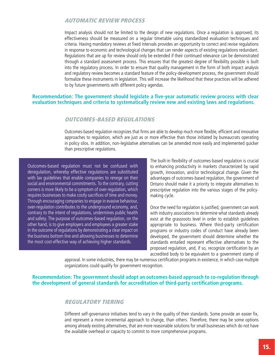### Automatic Review Process

Impact analysis should not be limited to the design of new regulations. Once a regulation is approved, its effectiveness should be measured on a regular timetable using standardized evaluation techniques and criteria. Having mandatory reviews at fixed intervals provides an opportunity to correct and revise regulations in response to economic and technological changes that can render aspects of existing regulations redundant. Regulations that are up for review should only be extended if their continued relevance can be demonstrated through a standard assessment process. This ensures that the greatest degree of flexibility possible is built into the regulatory process. In order to ensure that quality management in the form of both impact analysis and regulatory review becomes a standard feature of the policy-development process, the government should formalize these instruments in legislation. This will increase the likelihood that these practices will be adhered to by future governments with different policy agendas.

#### **Recommendation: The government should legislate a five-year automatic review process with clear evaluation techniques and criteria to systematically review new and existing laws and regulations.**

#### Outcomes-Based Regulations

Outcomes-based regulation recognizes that firms are able to develop much more flexible, efficient and innovative approaches to regulation, which are just as or more effective than those initiated by bureaucrats operating in policy silos. In addition, non-legislative alternatives can be amended more easily and implemented quicker than prescriptive regulations.

Outcomes-based regulation must not be confused with deregulation, whereby effective regulations are substituted with lax guidelines that enable companies to renege on their social and environmental commitments. To the contrary, cutting corners is more likely to be a symptom of over-regulation, which requires businesses to make costly sacrifices of time and money. Through encouraging companies to engage in evasive behaviour, over-regulation contributes to the underground economy, and, contrary to the intent of regulations, undermines public health and safety. The purpose of outcomes-based regulation, on the other hand, is to give employers and employees a greater stake in the outcome of regulations by demonstrating a clear impact on the business bottom line and allowing businesses to determine the most cost-effective way of achieving higher standards.

The built-in flexibility of outcomes-based regulation is crucial to enhancing productivity in markets characterized by rapid growth, innovation, and/or technological change. Given the advantages of outcomes-based regulation, the government of Ontario should make it a priority to integrate alternatives to prescriptive regulation into the various stages of the policymaking cycle.

Once the need for regulation is justified, government can work with industry associations to determine what standards already exist at the grassroots level in order to establish guidelines appropriate to business. Where third-party certification programs or industry codes of conduct have already been developed, the government should determine whether the standards entailed represent effective alternatives to the proposed regulation, and, if so, recognize certification by an accredited body to be equivalent to a government stamp of

approval. In some industries, there may be numerous certification programs in existence, in which case multiple organizations could qualify for government recognition.

#### **Recommendation: The government should adopt an outcomes-based approach to co-regulation through the development of general standards for accreditation of third-party certification programs.**

#### Regulatory Tiering

Different self-governance initiatives tend to vary in the quality of their standards. Some provide an easier fix, and represent a more incremental approach to change, than others. Therefore, there may be some options among already existing alternatives, that are more reasonable solutions for small businesses which do not have the available overhead or capacity to commit to more comprehensive programs.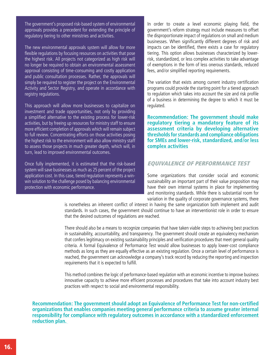The government's proposed risk-based system of environmental approvals provides a precedent for extending the principle of regulatory tiering to other ministries and activities.

The new environmental approvals system will allow for more flexible regulations by focusing resources on activities that pose the highest risk. All projects not categorized as high risk will no longer be required to obtain an environmental assessment approval consisting of time-consuming and costly application and public consultation processes. Rather, the approvals will simply be required to register the project on the Environmental Activity and Sector Registry, and operate in accordance with registry regulations.

This approach will allow more businesses to capitalize on investment and trade opportunities, not only by providing a simplified alternative to the existing process for lower-risk activities, but by freeing up resources for ministry staff to ensure more efficient completion of approvals which will remain subject to full review. Concentrating efforts on those activities posing the highest risk to the environment will also allow ministry staff to assess those projects in much greater depth, which will, in turn, lead to improved environmental outcomes.

Once fully implemented, it is estimated that the risk-based system will save businesses as much as 25 percent of the project application cost. In this case, tiered regulation represents a winwin solution to the challenge posed by balancing environmental protection with economic performance.

In order to create a level economic playing field, the government's reform strategy must include measures to offset the disproportionate impact of regulations on small and medium businesses. When significantly different degrees of risk and impacts can be identified, there exists a case for regulatory tiering. This option allows businesses characterized by lowerrisk, standardized, or less complex activities to take advantage of exemptions in the form of less onerous standards, reduced fees, and/or simplified reporting requirements.

The variation that exists among current industry certification programs could provide the starting point for a tiered approach to regulation which takes into account the size and risk profile of a business in determining the degree to which it must be regulated.

**Recommendation: The government should make regulatory tiering a mandatory feature of its assessment criteria by developing alternative thresholds for standards and compliance obligations for SMEs and lower-risk, standardized, and/or less complex activities**

### Equivalence of Performance Test

Some organizations that consider social and economic sustainability an important part of their value proposition may have their own internal systems in place for implementing and monitoring standards. While there is substantial room for variation in the quality of corporate governance systems, there

is nonetheless an inherent conflict of interest in having the same organization both implement and audit standards. In such cases, the government should continue to have an interventionist role in order to ensure that the desired outcomes of regulations are reached.

There should also be a means to recognize companies that have taken viable steps to achieving best practices in sustainability, accountability, and transparency. The government should create an equivalency mechanism that confers legitimacy on existing sustainability principles and verification procedures that meet general quality criteria. A formal Equivalence of Performance Test would allow businesses to apply lower-cost compliance methods as long as they are equally effective as an existing regulation. Once a certain level of performance is reached, the government can acknowledge a company's track record by reducing the reporting and inspection requirements that it is expected to fulfill.

This method combines the logic of performance-based regulation with an economic incentive to improve business innovative capacity to achieve more efficient processes and procedures that take into account industry best practices with respect to social and environmental responsibility.

**Recommendation: The government should adopt an Equivalence of Performance Test for non-certified organizations that enables companies meeting general performance criteria to assume greater internal responsibility for compliance with regulatory outcomes in accordance with a standardized enforcement reduction plan.**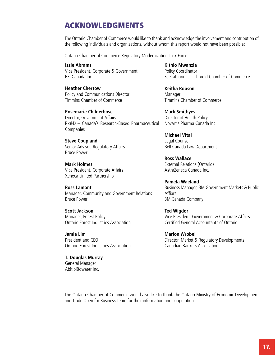## ACKNOWLEDGMENTS

The Ontario Chamber of Commerce would like to thank and acknowledge the involvement and contribution of the following individuals and organizations, without whom this report would not have been possible:

Ontario Chamber of Commerce Regulatory Modernization Task Force:

**Izzie Abrams** Vice President, Corporate & Government BFI Canada Inc.

**Heather Chertow** Policy and Communications Director Timmins Chamber of Commerce

**Rosemarie Childerhose** Director, Government Affairs Rx&D – Canada's Research-Based Pharmaceutical Companies

**Steve Coupland** Senior Advisor, Regulatory Affairs Bruce Power

**Mark Holmes** Vice President, Corporate Affairs Xeneca Limited Partnership

**Ross Lamont** Manager, Community and Government Relations Bruce Power

**Scott Jackson** Manager, Forest Policy Ontario Forest Industries Association

**Jamie Lim** President and CEO Ontario Forest Industries Association

**T. Douglas Murray** General Manager AbitibiBowater Inc.

**Kithio Mwanzia** Policy Coordinator St. Catharines – Thorold Chamber of Commerce

**Keitha Robson** Manager Timmins Chamber of Commerce

**Mark Smithyes** Director of Health Policy Novartis Pharma Canada Inc.

**Michael Vital** Legal Counsel Bell Canada Law Department

**Ross Wallace** External Relations (Ontario) AstraZeneca Canada Inc.

**Pamela Waeland** Business Manager, 3M Government Markets & Public Affiars 3M Canada Company

**Ted Wigdor** Vice President, Government & Corporate Affairs Certified General Accountants of Ontario

**Marion Wrobel** Director, Market & Regulatory Developments Canadian Bankers Association

The Ontario Chamber of Commerce would also like to thank the Ontario Ministry of Economic Development and Trade Open for Business Team for their information and cooperation.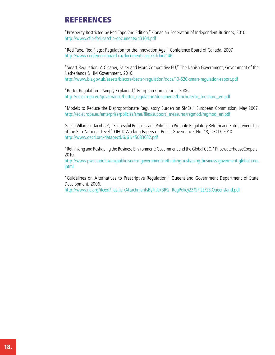## REFERENCES

"Prosperity Restricted by Red Tape 2nd Edition," Canadian Federation of Independent Business, 2010. http://www.cfib-fcei.ca/cfib-documents/rr3104.pdf

"Red Tape, Red Flags: Regulation for the Innovation Age," Conference Board of Canada, 2007. http://www.conferenceboard.ca/documents.aspx?did=2146

"Smart Regulation: A Cleaner, Fairer and More Competitive EU," The Danish Government, Government of the Netherlands & HM Government, 2010. http://www.bis.gov.uk/assets/biscore/better-regulation/docs/10-520-smart-regulation-report.pdf

"Better Regulation – Simply Explained," European Commission, 2006. http://ec.europa.eu/governance/better\_regulation/documents/brochure/br\_brochure\_en.pdf

"Models to Reduce the Disproportionate Regulatory Burden on SMEs," European Commission, May 2007. http://ec.europa.eu/enterprise/policies/sme/files/support\_measures/regmod/regmod\_en.pdf

García Villarreal, Jacobo P., "Successful Practices and Policies to Promote Regulatory Reform and Entrepreneurship at the Sub-National Level," OECD Working Papers on Public Governance, No. 18, OECD, 2010. http://www.oecd.org/dataoecd/6/61/45083032.pdf

"Rethinking and Reshaping the Business Environment: Government and the Global CEO," PricewaterhouseCoopers, 2010.

http://www.pwc.com/ca/en/public-sector-government/rethinking-reshaping-business-goverment-global-ceo. jhtml

"Guidelines on Alternatives to Prescriptive Regulation," Queensland Government Department of State Development, 2006.

http://www.ifc.org/ifcext/fias.nsf/AttachmentsByTitle/BRG\_RegPolicy23/\$FILE/23.Queensland.pdf